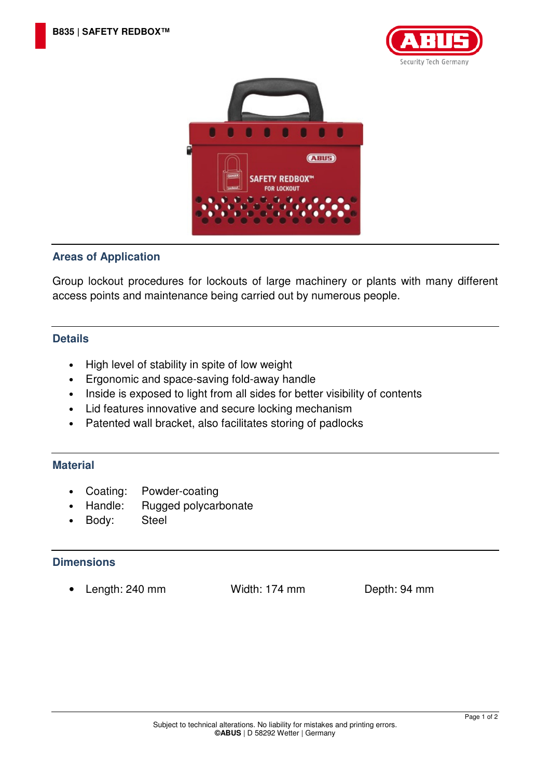



## **Areas of Application**

Group lockout procedures for lockouts of large machinery or plants with many different access points and maintenance being carried out by numerous people.

## **Details**

- High level of stability in spite of low weight
- Ergonomic and space-saving fold-away handle
- Inside is exposed to light from all sides for better visibility of contents
- Lid features innovative and secure locking mechanism
- Patented wall bracket, also facilitates storing of padlocks

## **Material**

- Coating: Powder-coating
- Handle: Rugged polycarbonate
- Body: Steel

## **Dimensions**

• Length: 240 mm Width: 174 mm Depth: 94 mm